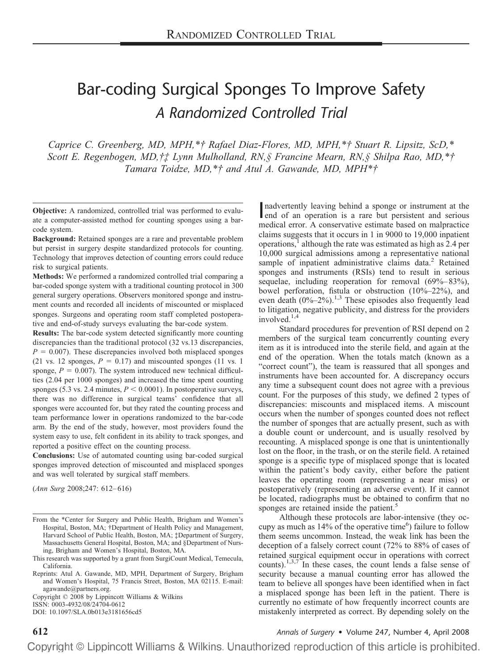# Bar-coding Surgical Sponges To Improve Safety *A Randomized Controlled Trial*

*Caprice C. Greenberg, MD, MPH,\*† Rafael Diaz-Flores, MD, MPH,\*† Stuart R. Lipsitz, ScD,\* Scott E. Regenbogen, MD,†‡ Lynn Mulholland, RN,§ Francine Mearn, RN,§ Shilpa Rao, MD,\*† Tamara Toidze, MD,\*† and Atul A. Gawande, MD, MPH\*†*

**Objective:** A randomized, controlled trial was performed to evaluate a computer-assisted method for counting sponges using a barcode system.

**Background:** Retained sponges are a rare and preventable problem but persist in surgery despite standardized protocols for counting. Technology that improves detection of counting errors could reduce risk to surgical patients.

**Methods:** We performed a randomized controlled trial comparing a bar-coded sponge system with a traditional counting protocol in 300 general surgery operations. Observers monitored sponge and instrument counts and recorded all incidents of miscounted or misplaced sponges. Surgeons and operating room staff completed postoperative and end-of-study surveys evaluating the bar-code system.

**Results:** The bar-code system detected significantly more counting discrepancies than the traditional protocol (32 vs.13 discrepancies,  $P = 0.007$ ). These discrepancies involved both misplaced sponges (21 vs. 12 sponges,  $P = 0.17$ ) and miscounted sponges (11 vs. 1) sponge,  $P = 0.007$ ). The system introduced new technical difficulties (2.04 per 1000 sponges) and increased the time spent counting sponges (5.3 vs. 2.4 minutes,  $P \le 0.0001$ ). In postoperative surveys, there was no difference in surgical teams' confidence that all sponges were accounted for, but they rated the counting process and team performance lower in operations randomized to the bar-code arm. By the end of the study, however, most providers found the system easy to use, felt confident in its ability to track sponges, and reported a positive effect on the counting process.

**Conclusions:** Use of automated counting using bar-coded surgical sponges improved detection of miscounted and misplaced sponges and was well tolerated by surgical staff members.

(*Ann Surg* 2008;247: 612– 616)

Copyright © 2008 by Lippincott Williams & Wilkins

ISSN: 0003-4932/08/24704-0612

DOI: 10.1097/SLA.0b013e3181656cd5

nadvertently leaving behind a sponge or instrument at the end of an operation is a rare but persistent and serious nadvertently leaving behind a sponge or instrument at the medical error. A conservative estimate based on malpractice claims suggests that it occurs in 1 in 9000 to 19,000 inpatient operations, $<sup>1</sup>$  although the rate was estimated as high as 2.4 per</sup> 10,000 surgical admissions among a representative national sample of inpatient administrative claims data.<sup>2</sup> Retained sponges and instruments (RSIs) tend to result in serious sequelae, including reoperation for removal (69%–83%), bowel perforation, fistula or obstruction (10%–22%), and even death  $(0\% - 2\%)$ <sup>1,3</sup> These episodes also frequently lead to litigation, negative publicity, and distress for the providers involved. $1,4$ 

Standard procedures for prevention of RSI depend on 2 members of the surgical team concurrently counting every item as it is introduced into the sterile field, and again at the end of the operation. When the totals match (known as a "correct count"), the team is reassured that all sponges and instruments have been accounted for. A discrepancy occurs any time a subsequent count does not agree with a previous count. For the purposes of this study, we defined 2 types of discrepancies: miscounts and misplaced items. A miscount occurs when the number of sponges counted does not reflect the number of sponges that are actually present, such as with a double count or undercount, and is usually resolved by recounting. A misplaced sponge is one that is unintentionally lost on the floor, in the trash, or on the sterile field. A retained sponge is a specific type of misplaced sponge that is located within the patient's body cavity, either before the patient leaves the operating room (representing a near miss) or postoperatively (representing an adverse event). If it cannot be located, radiographs must be obtained to confirm that no sponges are retained inside the patient.<sup>5</sup>

Although these protocols are labor-intensive (they occupy as much as  $14\%$  of the operative time<sup>6</sup>) failure to follow them seems uncommon. Instead, the weak link has been the deception of a falsely correct count (72% to 88% of cases of retained surgical equipment occur in operations with correct counts).<sup>1,3,7</sup> In these cases, the count lends a false sense of security because a manual counting error has allowed the team to believe all sponges have been identified when in fact a misplaced sponge has been left in the patient. There is currently no estimate of how frequently incorrect counts are mistakenly interpreted as correct. By depending solely on the

**612** *Annals of Surgery* • Volume 247, Number 4, April 2008

From the \*Center for Surgery and Public Health, Brigham and Women's Hospital, Boston, MA; †Department of Health Policy and Management, Harvard School of Public Health, Boston, MA; ‡Department of Surgery, Massachusetts General Hospital, Boston, MA; and §Department of Nursing, Brigham and Women's Hospital, Boston, MA.

This research was supported by a grant from SurgiCount Medical, Temecula, California.

Reprints: Atul A. Gawande, MD, MPH, Department of Surgery, Brigham and Women's Hospital, 75 Francis Street, Boston, MA 02115. E-mail: agawande@partners.org.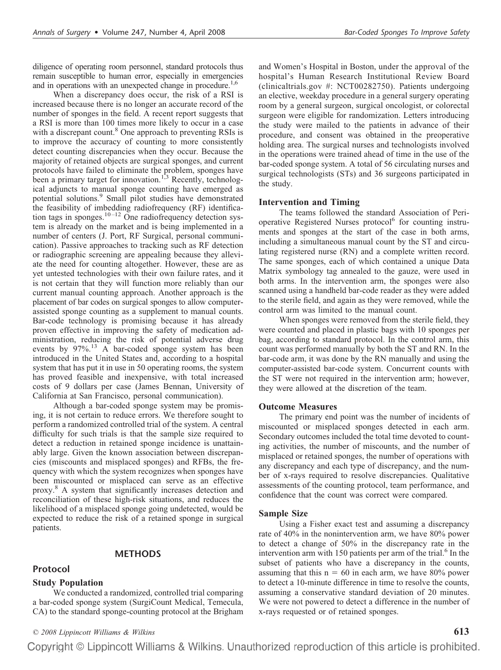diligence of operating room personnel, standard protocols thus remain susceptible to human error, especially in emergencies and in operations with an unexpected change in procedure.<sup>1,6</sup>

When a discrepancy does occur, the risk of a RSI is increased because there is no longer an accurate record of the number of sponges in the field. A recent report suggests that a RSI is more than 100 times more likely to occur in a case with a discrepant count.<sup>8</sup> One approach to preventing RSIs is to improve the accuracy of counting to more consistently detect counting discrepancies when they occur. Because the majority of retained objects are surgical sponges, and current protocols have failed to eliminate the problem, sponges have been a primary target for innovation.<sup>1,3</sup> Recently, technological adjuncts to manual sponge counting have emerged as potential solutions.9 Small pilot studies have demonstrated the feasibility of imbedding radiofrequency (RF) identification tags in sponges.<sup>10-12</sup> One radiofrequency detection system is already on the market and is being implemented in a number of centers (J. Port, RF Surgical, personal communication). Passive approaches to tracking such as RF detection or radiographic screening are appealing because they alleviate the need for counting altogether. However, these are as yet untested technologies with their own failure rates, and it is not certain that they will function more reliably than our current manual counting approach. Another approach is the placement of bar codes on surgical sponges to allow computerassisted sponge counting as a supplement to manual counts. Bar-code technology is promising because it has already proven effective in improving the safety of medication administration, reducing the risk of potential adverse drug events by 97%.<sup>13</sup> A bar-coded sponge system has been introduced in the United States and, according to a hospital system that has put it in use in 50 operating rooms, the system has proved feasible and inexpensive, with total increased costs of 9 dollars per case (James Bennan, University of California at San Francisco, personal communication).

Although a bar-coded sponge system may be promising, it is not certain to reduce errors. We therefore sought to perform a randomized controlled trial of the system. A central difficulty for such trials is that the sample size required to detect a reduction in retained sponge incidence is unattainably large. Given the known association between discrepancies (miscounts and misplaced sponges) and RFBs, the frequency with which the system recognizes when sponges have been miscounted or misplaced can serve as an effective proxy.8 A system that significantly increases detection and reconciliation of these high-risk situations, and reduces the likelihood of a misplaced sponge going undetected, would be expected to reduce the risk of a retained sponge in surgical patients.

# **METHODS**

#### **Protocol**

#### **Study Population**

We conducted a randomized, controlled trial comparing a bar-coded sponge system (SurgiCount Medical, Temecula, CA) to the standard sponge-counting protocol at the Brigham and Women's Hospital in Boston, under the approval of the hospital's Human Research Institutional Review Board (clinicaltrials.gov #: NCT00282750). Patients undergoing an elective, weekday procedure in a general surgery operating room by a general surgeon, surgical oncologist, or colorectal surgeon were eligible for randomization. Letters introducing the study were mailed to the patients in advance of their procedure, and consent was obtained in the preoperative holding area. The surgical nurses and technologists involved in the operations were trained ahead of time in the use of the bar-coded sponge system. A total of 56 circulating nurses and surgical technologists (STs) and 36 surgeons participated in the study.

#### **Intervention and Timing**

The teams followed the standard Association of Perioperative Registered Nurses protocol<sup>6</sup> for counting instruments and sponges at the start of the case in both arms, including a simultaneous manual count by the ST and circulating registered nurse (RN) and a complete written record. The same sponges, each of which contained a unique Data Matrix symbology tag annealed to the gauze, were used in both arms. In the intervention arm, the sponges were also scanned using a handheld bar-code reader as they were added to the sterile field, and again as they were removed, while the control arm was limited to the manual count.

When sponges were removed from the sterile field, they were counted and placed in plastic bags with 10 sponges per bag, according to standard protocol. In the control arm, this count was performed manually by both the ST and RN. In the bar-code arm, it was done by the RN manually and using the computer-assisted bar-code system. Concurrent counts with the ST were not required in the intervention arm; however, they were allowed at the discretion of the team.

#### **Outcome Measures**

The primary end point was the number of incidents of miscounted or misplaced sponges detected in each arm. Secondary outcomes included the total time devoted to counting activities, the number of miscounts, and the number of misplaced or retained sponges, the number of operations with any discrepancy and each type of discrepancy, and the number of x-rays required to resolve discrepancies. Qualitative assessments of the counting protocol, team performance, and confidence that the count was correct were compared.

#### **Sample Size**

Using a Fisher exact test and assuming a discrepancy rate of 40% in the nonintervention arm, we have 80% power to detect a change of 50% in the discrepancy rate in the intervention arm with 150 patients per arm of the trial.<sup>6</sup> In the subset of patients who have a discrepancy in the counts, assuming that this  $n = 60$  in each arm, we have 80% power to detect a 10-minute difference in time to resolve the counts, assuming a conservative standard deviation of 20 minutes. We were not powered to detect a difference in the number of x-rays requested or of retained sponges.

*© 2008 Lippincott Williams & Wilkins* **613**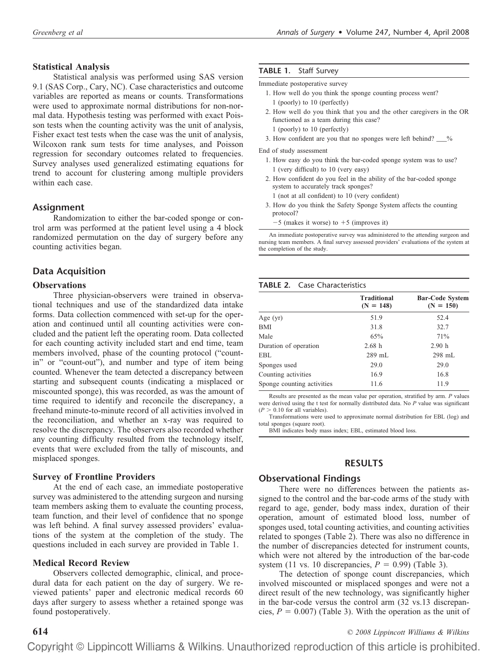#### **Statistical Analysis**

Statistical analysis was performed using SAS version 9.1 (SAS Corp., Cary, NC). Case characteristics and outcome variables are reported as means or counts. Transformations were used to approximate normal distributions for non-normal data. Hypothesis testing was performed with exact Poisson tests when the counting activity was the unit of analysis, Fisher exact test tests when the case was the unit of analysis, Wilcoxon rank sum tests for time analyses, and Poisson regression for secondary outcomes related to frequencies. Survey analyses used generalized estimating equations for trend to account for clustering among multiple providers within each case.

# **Assignment**

Randomization to either the bar-coded sponge or control arm was performed at the patient level using a 4 block randomized permutation on the day of surgery before any counting activities began.

# **Data Acquisition**

## **Observations**

Three physician-observers were trained in observational techniques and use of the standardized data intake forms. Data collection commenced with set-up for the operation and continued until all counting activities were concluded and the patient left the operating room. Data collected for each counting activity included start and end time, team members involved, phase of the counting protocol ("countin" or "count-out"), and number and type of item being counted. Whenever the team detected a discrepancy between starting and subsequent counts (indicating a misplaced or miscounted sponge), this was recorded, as was the amount of time required to identify and reconcile the discrepancy, a freehand minute-to-minute record of all activities involved in the reconciliation, and whether an x-ray was required to resolve the discrepancy. The observers also recorded whether any counting difficulty resulted from the technology itself, events that were excluded from the tally of miscounts, and misplaced sponges.

#### **Survey of Frontline Providers**

At the end of each case, an immediate postoperative survey was administered to the attending surgeon and nursing team members asking them to evaluate the counting process, team function, and their level of confidence that no sponge was left behind. A final survey assessed providers' evaluations of the system at the completion of the study. The questions included in each survey are provided in Table 1.

## **Medical Record Review**

Observers collected demographic, clinical, and procedural data for each patient on the day of surgery. We reviewed patients' paper and electronic medical records 60 days after surgery to assess whether a retained sponge was found postoperatively.

#### **TABLE 1.** Staff Survey

Immediate postoperative survey

- 1. How well do you think the sponge counting process went? 1 (poorly) to 10 (perfectly)
- 2. How well do you think that you and the other caregivers in the OR functioned as a team during this case?
- 1 (poorly) to 10 (perfectly)
- 3. How confident are you that no sponges were left behind?  $\frac{9}{6}$

End of study assessment

- 1. How easy do you think the bar-coded sponge system was to use? 1 (very difficult) to 10 (very easy)
- 2. How confident do you feel in the ability of the bar-coded sponge system to accurately track sponges?
- 1 (not at all confident) to 10 (very confident)
- 3. How do you think the Safety Sponge System affects the counting protocol?
	- $-5$  (makes it worse) to  $+5$  (improves it)

An immediate postoperative survey was administered to the attending surgeon and nursing team members. A final survey assessed providers' evaluations of the system at the completion of the study.

#### **TABLE 2.** Case Characteristics

|                            | <b>Traditional</b> | <b>Bar-Code System</b> |  |  |
|----------------------------|--------------------|------------------------|--|--|
|                            | $(N = 148)$        | $(N = 150)$            |  |  |
| Age $(yr)$                 | 51.9               | 52.4                   |  |  |
| <b>BMI</b>                 | 31.8               | 32.7                   |  |  |
| Male                       | 65%                | 71%                    |  |  |
| Duration of operation      | 2.68h              | 2.90h                  |  |  |
| EBL                        | 289 mL             | 298 mL                 |  |  |
| Sponges used               | 29.0               | 29.0                   |  |  |
| Counting activities        | 16.9               | 16.8                   |  |  |
| Sponge counting activities | 11.6               | 11.9                   |  |  |

Results are presented as the mean value per operation, stratified by arm. *P* values were derived using the t test for normally distributed data. No *P* value was significant  $(P > 0.10$  for all variables).

Transformations were used to approximate normal distribution for EBL (log) and total sponges (square root).

BMI indicates body mass index; EBL, estimated blood loss.

# **RESULTS**

## **Observational Findings**

There were no differences between the patients assigned to the control and the bar-code arms of the study with regard to age, gender, body mass index, duration of their operation, amount of estimated blood loss, number of sponges used, total counting activities, and counting activities related to sponges (Table 2). There was also no difference in the number of discrepancies detected for instrument counts, which were not altered by the introduction of the bar-code system (11 vs. 10 discrepancies,  $P = 0.99$ ) (Table 3).

The detection of sponge count discrepancies, which involved miscounted or misplaced sponges and were not a direct result of the new technology, was significantly higher in the bar-code versus the control arm (32 vs.13 discrepancies,  $P = 0.007$ ) (Table 3). With the operation as the unit of

**614** *© 2008 Lippincott Williams & Wilkins*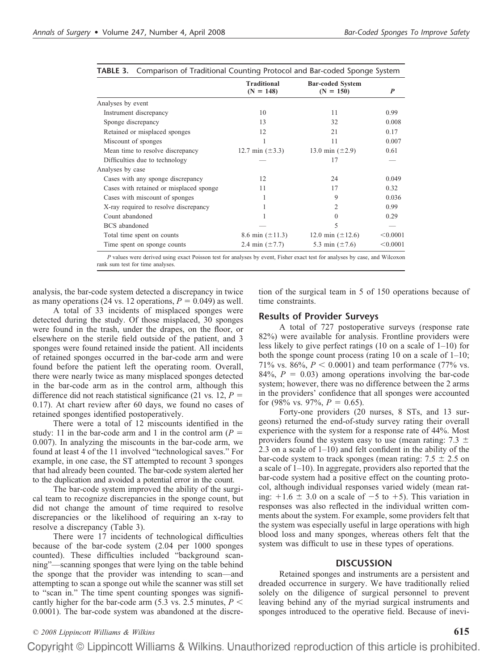|                                         | <b>Traditional</b><br>$(N = 148)$ | <b>Bar-coded System</b><br>$(N = 150)$ | P        |
|-----------------------------------------|-----------------------------------|----------------------------------------|----------|
| Analyses by event                       |                                   |                                        |          |
| Instrument discrepancy                  | 10                                | 11                                     | 0.99     |
| Sponge discrepancy                      | 13                                | 32                                     | 0.008    |
| Retained or misplaced sponges           | 12                                | 21                                     | 0.17     |
| Miscount of sponges                     |                                   | 11                                     | 0.007    |
| Mean time to resolve discrepancy        | 12.7 min $(\pm 3.3)$              | 13.0 min $(\pm 2.9)$                   | 0.61     |
| Difficulties due to technology          |                                   | 17                                     |          |
| Analyses by case                        |                                   |                                        |          |
| Cases with any sponge discrepancy       | 12                                | 24                                     | 0.049    |
| Cases with retained or misplaced sponge | 11                                | 17                                     | 0.32     |
| Cases with miscount of sponges          |                                   | 9                                      | 0.036    |
| X-ray required to resolve discrepancy   |                                   | 2                                      | 0.99     |
| Count abandoned                         |                                   | $\theta$                               | 0.29     |
| <b>BCS</b> abandoned                    |                                   | 5                                      |          |
| Total time spent on counts              | 8.6 min $(\pm 11.3)$              | 12.0 min $(\pm 12.6)$                  | < 0.0001 |
| Time spent on sponge counts             | 2.4 min $(\pm 7.7)$               | 5.3 min $(\pm 7.6)$                    | < 0.0001 |
|                                         |                                   |                                        | a www.ca |

|  |  | TABLE 3. Comparison of Traditional Counting Protocol and Bar-coded Sponge System |  |  |  |  |  |  |
|--|--|----------------------------------------------------------------------------------|--|--|--|--|--|--|
|--|--|----------------------------------------------------------------------------------|--|--|--|--|--|--|

*P* values were derived using exact Poisson test for analyses by event, Fisher exact test for analyses by case, and Wilcoxon rank sum test for time analyses.

analysis, the bar-code system detected a discrepancy in twice as many operations (24 vs. 12 operations,  $P = 0.049$ ) as well.

A total of 33 incidents of misplaced sponges were detected during the study. Of those misplaced, 30 sponges were found in the trash, under the drapes, on the floor, or elsewhere on the sterile field outside of the patient, and 3 sponges were found retained inside the patient. All incidents of retained sponges occurred in the bar-code arm and were found before the patient left the operating room. Overall, there were nearly twice as many misplaced sponges detected in the bar-code arm as in the control arm, although this difference did not reach statistical significance (21 vs. 12,  $P =$ 0.17). At chart review after 60 days, we found no cases of retained sponges identified postoperatively.

There were a total of 12 miscounts identified in the study: 11 in the bar-code arm and 1 in the control arm  $(P =$ 0.007). In analyzing the miscounts in the bar-code arm, we found at least 4 of the 11 involved "technological saves." For example, in one case, the ST attempted to recount 3 sponges that had already been counted. The bar-code system alerted her to the duplication and avoided a potential error in the count.

The bar-code system improved the ability of the surgical team to recognize discrepancies in the sponge count, but did not change the amount of time required to resolve discrepancies or the likelihood of requiring an x-ray to resolve a discrepancy (Table 3).

There were 17 incidents of technological difficulties because of the bar-code system (2.04 per 1000 sponges counted). These difficulties included "background scanning"—scanning sponges that were lying on the table behind the sponge that the provider was intending to scan—and attempting to scan a sponge out while the scanner was still set to "scan in." The time spent counting sponges was significantly higher for the bar-code arm  $(5.3 \text{ vs. } 2.5 \text{ minutes}, P \leq$ 0.0001). The bar-code system was abandoned at the discretion of the surgical team in 5 of 150 operations because of time constraints.

# **Results of Provider Surveys**

A total of 727 postoperative surveys (response rate 82%) were available for analysis. Frontline providers were less likely to give perfect ratings (10 on a scale of 1–10) for both the sponge count process (rating 10 on a scale of 1–10; 71% vs. 86%,  $P < 0.0001$ ) and team performance (77% vs. 84%,  $P = 0.03$ ) among operations involving the bar-code system; however, there was no difference between the 2 arms in the providers' confidence that all sponges were accounted for (98% vs. 97%,  $P = 0.65$ ).

Forty-one providers (20 nurses, 8 STs, and 13 surgeons) returned the end-of-study survey rating their overall experience with the system for a response rate of 44%. Most providers found the system easy to use (mean rating:  $7.3 \pm$ 2.3 on a scale of 1–10) and felt confident in the ability of the bar-code system to track sponges (mean rating:  $7.5 \pm 2.5$  on a scale of 1–10). In aggregate, providers also reported that the bar-code system had a positive effect on the counting protocol, although individual responses varied widely (mean rating:  $+1.6 \pm 3.0$  on a scale of  $-5$  to  $+5$ ). This variation in responses was also reflected in the individual written comments about the system. For example, some providers felt that the system was especially useful in large operations with high blood loss and many sponges, whereas others felt that the system was difficult to use in these types of operations.

# **DISCUSSION**

Retained sponges and instruments are a persistent and dreaded occurrence in surgery. We have traditionally relied solely on the diligence of surgical personnel to prevent leaving behind any of the myriad surgical instruments and sponges introduced to the operative field. Because of inevi-